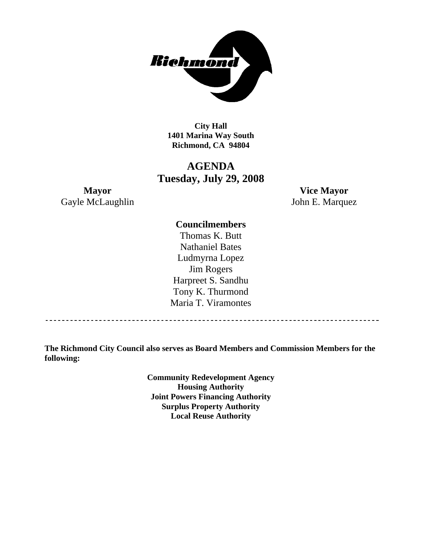

**City Hall 1401 Marina Way South Richmond, CA 94804** 

# **AGENDA Tuesday, July 29, 2008**

Gayle McLaughlin John E. Marquez

**Mayor Vice Mayor** 

# **Councilmembers**

Thomas K. Butt Nathaniel Bates Ludmyrna Lopez Jim Rogers Harpreet S. Sandhu Tony K. Thurmond Maria T. Viramontes

**The Richmond City Council also serves as Board Members and Commission Members for the following:** 

> **Community Redevelopment Agency Housing Authority Joint Powers Financing Authority Surplus Property Authority Local Reuse Authority**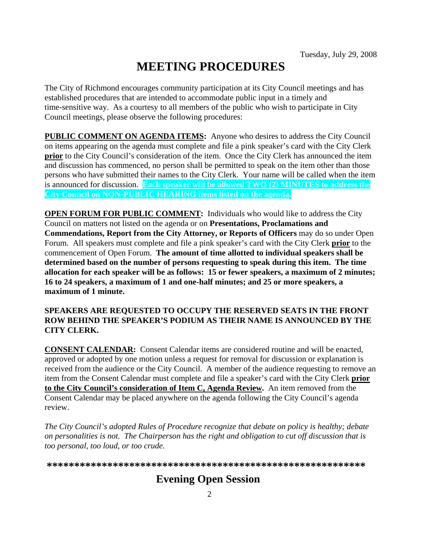# **MEETING PROCEDURES**

The City of Richmond encourages community participation at its City Council meetings and has established procedures that are intended to accommodate public input in a timely and time-sensitive way. As a courtesy to all members of the public who wish to participate in City Council meetings, please observe the following procedures:

**PUBLIC COMMENT ON AGENDA ITEMS:** Anyone who desires to address the City Council on items appearing on the agenda must complete and file a pink speaker's card with the City Clerk **prior** to the City Council's consideration of the item. Once the City Clerk has announced the item and discussion has commenced, no person shall be permitted to speak on the item other than those persons who have submitted their names to the City Clerk. Your name will be called when the item is announced for discussion. **Each speaker will be allowed TWO (2) MINUTES to address the City Council on NON-PUBLIC HEARING items listed on the agenda.** 

**OPEN FORUM FOR PUBLIC COMMENT:** Individuals who would like to address the City Council on matters not listed on the agenda or on **Presentations, Proclamations and Commendations, Report from the City Attorney, or Reports of Officers** may do so under Open Forum. All speakers must complete and file a pink speaker's card with the City Clerk **prior** to the commencement of Open Forum. **The amount of time allotted to individual speakers shall be determined based on the number of persons requesting to speak during this item. The time allocation for each speaker will be as follows: 15 or fewer speakers, a maximum of 2 minutes; 16 to 24 speakers, a maximum of 1 and one-half minutes; and 25 or more speakers, a maximum of 1 minute.** 

### **SPEAKERS ARE REQUESTED TO OCCUPY THE RESERVED SEATS IN THE FRONT ROW BEHIND THE SPEAKER'S PODIUM AS THEIR NAME IS ANNOUNCED BY THE CITY CLERK.**

**CONSENT CALENDAR:** Consent Calendar items are considered routine and will be enacted, approved or adopted by one motion unless a request for removal for discussion or explanation is received from the audience or the City Council. A member of the audience requesting to remove an item from the Consent Calendar must complete and file a speaker's card with the City Clerk **prior to the City Council's consideration of Item C, Agenda Review.** An item removed from the Consent Calendar may be placed anywhere on the agenda following the City Council's agenda review.

*The City Council's adopted Rules of Procedure recognize that debate on policy is healthy; debate on personalities is not. The Chairperson has the right and obligation to cut off discussion that is too personal, too loud, or too crude.* 

**\*\*\*\*\*\*\*\*\*\*\*\*\*\*\*\*\*\*\*\*\*\*\*\*\*\*\*\*\*\*\*\*\*\*\*\*\*\*\*\*\*\*\*\*\*\*\*\*\*\*\*\*\*\*\*\*\*\***

# **Evening Open Session**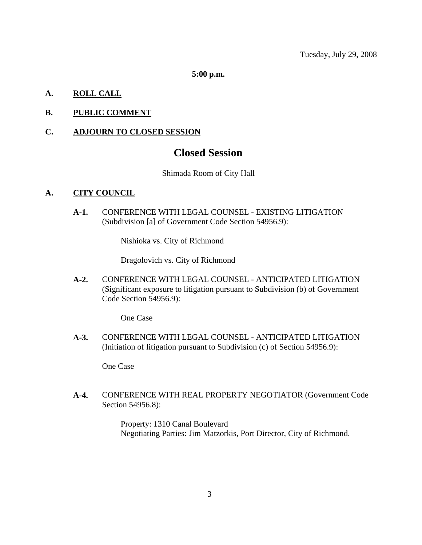**5:00 p.m.** 

# **A. ROLL CALL**

# **B. PUBLIC COMMENT**

### **C. ADJOURN TO CLOSED SESSION**

# **Closed Session**

#### Shimada Room of City Hall

#### **A. CITY COUNCIL**

**A-1.** CONFERENCE WITH LEGAL COUNSEL - EXISTING LITIGATION (Subdivision [a] of Government Code Section 54956.9):

Nishioka vs. City of Richmond

Dragolovich vs. City of Richmond

**A-2.** CONFERENCE WITH LEGAL COUNSEL - ANTICIPATED LITIGATION (Significant exposure to litigation pursuant to Subdivision (b) of Government Code Section 54956.9):

One Case

**A-3.** CONFERENCE WITH LEGAL COUNSEL - ANTICIPATED LITIGATION (Initiation of litigation pursuant to Subdivision (c) of Section 54956.9):

One Case

**A-4.** CONFERENCE WITH REAL PROPERTY NEGOTIATOR (Government Code Section 54956.8):

> Property: 1310 Canal Boulevard Negotiating Parties: Jim Matzorkis, Port Director, City of Richmond.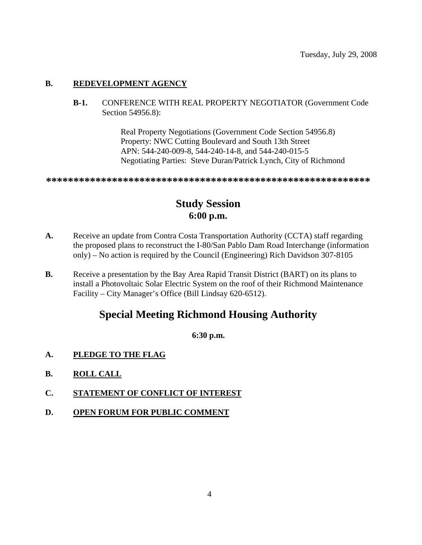#### **B. REDEVELOPMENT AGENCY**

**B-1.** CONFERENCE WITH REAL PROPERTY NEGOTIATOR (Government Code Section 54956.8):

> Real Property Negotiations (Government Code Section 54956.8) Property: NWC Cutting Boulevard and South 13th Street APN: 544-240-009-8, 544-240-14-8, and 544-240-015-5 Negotiating Parties: Steve Duran/Patrick Lynch, City of Richmond

**\*\*\*\*\*\*\*\*\*\*\*\*\*\*\*\*\*\*\*\*\*\*\*\*\*\*\*\*\*\*\*\*\*\*\*\*\*\*\*\*\*\*\*\*\*\*\*\*\*\*\*\*\*\*\*\*\*\*\***

# **Study Session 6:00 p.m.**

- A. Receive an update from Contra Costa Transportation Authority (CCTA) staff regarding the proposed plans to reconstruct the I-80/San Pablo Dam Road Interchange (information only) – No action is required by the Council (Engineering) Rich Davidson 307-8105
- **B.** Receive a presentation by the Bay Area Rapid Transit District (BART) on its plans to install a Photovoltaic Solar Electric System on the roof of their Richmond Maintenance Facility – City Manager's Office (Bill Lindsay 620-6512).

# **Special Meeting Richmond Housing Authority**

# **6:30 p.m.**

- **A. PLEDGE TO THE FLAG**
- **B. ROLL CALL**
- **C. STATEMENT OF CONFLICT OF INTEREST**
- **D. OPEN FORUM FOR PUBLIC COMMENT**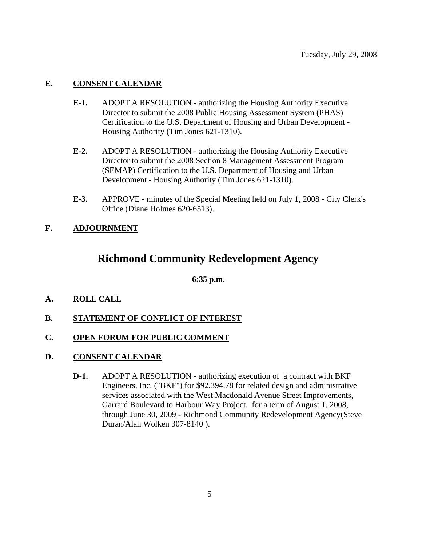# **E. CONSENT CALENDAR**

- **E-1.** ADOPT A RESOLUTION authorizing the Housing Authority Executive Director to submit the 2008 Public Housing Assessment System (PHAS) Certification to the U.S. Department of Housing and Urban Development - Housing Authority (Tim Jones 621-1310).
- **E-2.** ADOPT A RESOLUTION authorizing the Housing Authority Executive Director to submit the 2008 Section 8 Management Assessment Program (SEMAP) Certification to the U.S. Department of Housing and Urban Development - Housing Authority (Tim Jones 621-1310).
- **E-3.** APPROVE minutes of the Special Meeting held on July 1, 2008 City Clerk's Office (Diane Holmes 620-6513).

# **F. ADJOURNMENT**

# **Richmond Community Redevelopment Agency**

**6:35 p.m**.

- **A. ROLL CALL**
- **B. STATEMENT OF CONFLICT OF INTEREST**

# **C. OPEN FORUM FOR PUBLIC COMMENT**

- **D. CONSENT CALENDAR**
	- **D-1.** ADOPT A RESOLUTION authorizing execution of a contract with BKF Engineers, Inc. ("BKF") for \$92,394.78 for related design and administrative services associated with the West Macdonald Avenue Street Improvements, Garrard Boulevard to Harbour Way Project, for a term of August 1, 2008, through June 30, 2009 - Richmond Community Redevelopment Agency(Steve Duran/Alan Wolken 307-8140 ).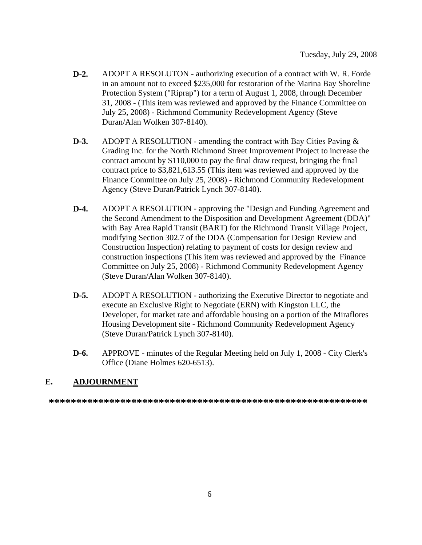- **D-2.** ADOPT A RESOLUTON authorizing execution of a contract with W. R. Forde in an amount not to exceed \$235,000 for restoration of the Marina Bay Shoreline Protection System ("Riprap") for a term of August 1, 2008, through December 31, 2008 - (This item was reviewed and approved by the Finance Committee on July 25, 2008) - Richmond Community Redevelopment Agency (Steve Duran/Alan Wolken 307-8140).
- **D-3.** ADOPT A RESOLUTION amending the contract with Bay Cities Paving & Grading Inc. for the North Richmond Street Improvement Project to increase the contract amount by \$110,000 to pay the final draw request, bringing the final contract price to \$3,821,613.55 (This item was reviewed and approved by the Finance Committee on July 25, 2008) - Richmond Community Redevelopment Agency (Steve Duran/Patrick Lynch 307-8140).
- **D-4.** ADOPT A RESOLUTION approving the "Design and Funding Agreement and the Second Amendment to the Disposition and Development Agreement (DDA)" with Bay Area Rapid Transit (BART) for the Richmond Transit Village Project, modifying Section 302.7 of the DDA (Compensation for Design Review and Construction Inspection) relating to payment of costs for design review and construction inspections (This item was reviewed and approved by the Finance Committee on July 25, 2008) - Richmond Community Redevelopment Agency (Steve Duran/Alan Wolken 307-8140).
- **D-5.** ADOPT A RESOLUTION authorizing the Executive Director to negotiate and execute an Exclusive Right to Negotiate (ERN) with Kingston LLC, the Developer, for market rate and affordable housing on a portion of the Miraflores Housing Development site - Richmond Community Redevelopment Agency (Steve Duran/Patrick Lynch 307-8140).
- **D-6.** APPROVE minutes of the Regular Meeting held on July 1, 2008 City Clerk's Office (Diane Holmes 620-6513).

#### **E. ADJOURNMENT**

**\*\*\*\*\*\*\*\*\*\*\*\*\*\*\*\*\*\*\*\*\*\*\*\*\*\*\*\*\*\*\*\*\*\*\*\*\*\*\*\*\*\*\*\*\*\*\*\*\*\*\*\*\*\*\*\*\*\***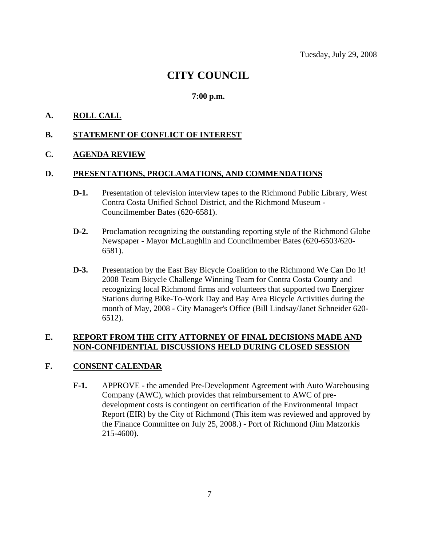# **CITY COUNCIL**

# **7:00 p.m.**

# **A. ROLL CALL**

### **B. STATEMENT OF CONFLICT OF INTEREST**

#### **C. AGENDA REVIEW**

#### **D. PRESENTATIONS, PROCLAMATIONS, AND COMMENDATIONS**

- **D-1.** Presentation of television interview tapes to the Richmond Public Library, West Contra Costa Unified School District, and the Richmond Museum - Councilmember Bates (620-6581).
- **D-2.** Proclamation recognizing the outstanding reporting style of the Richmond Globe Newspaper - Mayor McLaughlin and Councilmember Bates (620-6503/620- 6581).
- **D-3.** Presentation by the East Bay Bicycle Coalition to the Richmond We Can Do It! 2008 Team Bicycle Challenge Winning Team for Contra Costa County and recognizing local Richmond firms and volunteers that supported two Energizer Stations during Bike-To-Work Day and Bay Area Bicycle Activities during the month of May, 2008 - City Manager's Office (Bill Lindsay/Janet Schneider 620- 6512).

# **E. REPORT FROM THE CITY ATTORNEY OF FINAL DECISIONS MADE AND NON-CONFIDENTIAL DISCUSSIONS HELD DURING CLOSED SESSION**

# **F. CONSENT CALENDAR**

**F-1.** APPROVE - the amended Pre-Development Agreement with Auto Warehousing Company (AWC), which provides that reimbursement to AWC of predevelopment costs is contingent on certification of the Environmental Impact Report (EIR) by the City of Richmond (This item was reviewed and approved by the Finance Committee on July 25, 2008.) - Port of Richmond (Jim Matzorkis 215-4600).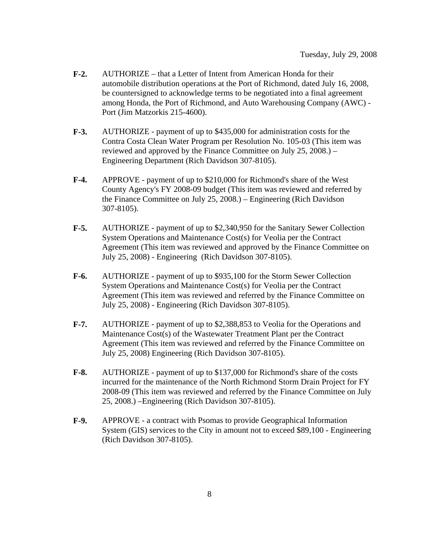- **F-2.** AUTHORIZE that a Letter of Intent from American Honda for their automobile distribution operations at the Port of Richmond, dated July 16, 2008, be countersigned to acknowledge terms to be negotiated into a final agreement among Honda, the Port of Richmond, and Auto Warehousing Company (AWC) - Port (Jim Matzorkis 215-4600).
- **F-3.** AUTHORIZE payment of up to \$435,000 for administration costs for the Contra Costa Clean Water Program per Resolution No. 105-03 (This item was reviewed and approved by the Finance Committee on July 25, 2008.) – Engineering Department (Rich Davidson 307-8105).
- **F-4.** APPROVE payment of up to \$210,000 for Richmond's share of the West County Agency's FY 2008-09 budget (This item was reviewed and referred by the Finance Committee on July 25, 2008.) – Engineering (Rich Davidson 307-8105).
- **F-5.** AUTHORIZE payment of up to \$2,340,950 for the Sanitary Sewer Collection System Operations and Maintenance Cost(s) for Veolia per the Contract Agreement (This item was reviewed and approved by the Finance Committee on July 25, 2008) - Engineering (Rich Davidson 307-8105).
- **F-6.** AUTHORIZE payment of up to \$935,100 for the Storm Sewer Collection System Operations and Maintenance Cost(s) for Veolia per the Contract Agreement (This item was reviewed and referred by the Finance Committee on July 25, 2008) - Engineering (Rich Davidson 307-8105).
- **F-7.** AUTHORIZE payment of up to \$2,388,853 to Veolia for the Operations and Maintenance Cost(s) of the Wastewater Treatment Plant per the Contract Agreement (This item was reviewed and referred by the Finance Committee on July 25, 2008) Engineering (Rich Davidson 307-8105).
- **F-8.** AUTHORIZE payment of up to \$137,000 for Richmond's share of the costs incurred for the maintenance of the North Richmond Storm Drain Project for FY 2008-09 (This item was reviewed and referred by the Finance Committee on July 25, 2008.) –Engineering (Rich Davidson 307-8105).
- **F-9.** APPROVE a contract with Psomas to provide Geographical Information System (GIS) services to the City in amount not to exceed \$89,100 - Engineering (Rich Davidson 307-8105).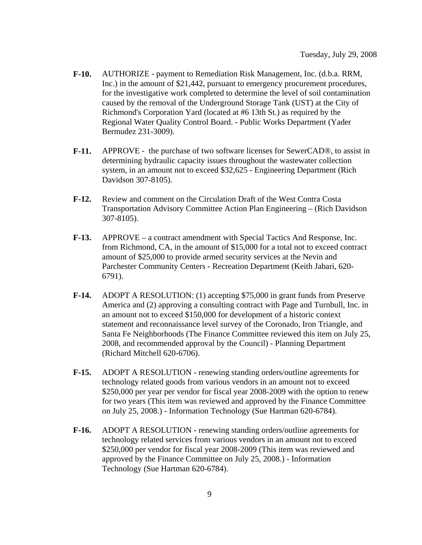- **F-10.** AUTHORIZE payment to Remediation Risk Management, Inc. (d.b.a. RRM, Inc.) in the amount of \$21,442, pursuant to emergency procurement procedures, for the investigative work completed to determine the level of soil contamination caused by the removal of the Underground Storage Tank (UST) at the City of Richmond's Corporation Yard (located at #6 13th St.) as required by the Regional Water Quality Control Board. - Public Works Department (Yader Bermudez 231-3009).
- **F-11.** APPROVE the purchase of two software licenses for SewerCAD®, to assist in determining hydraulic capacity issues throughout the wastewater collection system, in an amount not to exceed \$32,625 - Engineering Department (Rich Davidson 307-8105).
- **F-12.** Review and comment on the Circulation Draft of the West Contra Costa Transportation Advisory Committee Action Plan Engineering – (Rich Davidson 307-8105).
- **F-13.** APPROVE a contract amendment with Special Tactics And Response, Inc. from Richmond, CA, in the amount of \$15,000 for a total not to exceed contract amount of \$25,000 to provide armed security services at the Nevin and Parchester Community Centers - Recreation Department (Keith Jabari, 620- 6791).
- **F-14.** ADOPT A RESOLUTION: (1) accepting \$75,000 in grant funds from Preserve America and (2) approving a consulting contract with Page and Turnbull, Inc. in an amount not to exceed \$150,000 for development of a historic context statement and reconnaissance level survey of the Coronado, Iron Triangle, and Santa Fe Neighborhoods (The Finance Committee reviewed this item on July 25, 2008, and recommended approval by the Council) - Planning Department (Richard Mitchell 620-6706).
- **F-15.** ADOPT A RESOLUTION renewing standing orders/outline agreements for technology related goods from various vendors in an amount not to exceed \$250,000 per year per vendor for fiscal year 2008-2009 with the option to renew for two years (This item was reviewed and approved by the Finance Committee on July 25, 2008.) - Information Technology (Sue Hartman 620-6784).
- **F-16.** ADOPT A RESOLUTION renewing standing orders/outline agreements for technology related services from various vendors in an amount not to exceed \$250,000 per vendor for fiscal year 2008-2009 (This item was reviewed and approved by the Finance Committee on July 25, 2008.) - Information Technology (Sue Hartman 620-6784).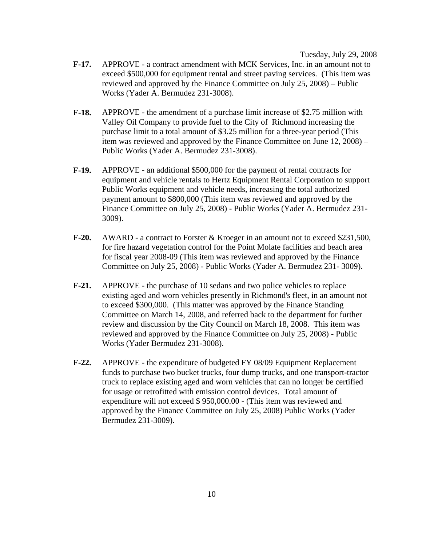Tuesday, July 29, 2008

- **F-17.** APPROVE a contract amendment with MCK Services, Inc. in an amount not to exceed \$500,000 for equipment rental and street paving services. (This item was reviewed and approved by the Finance Committee on July 25, 2008) – Public Works (Yader A. Bermudez 231-3008).
- **F-18.** APPROVE the amendment of a purchase limit increase of \$2.75 million with Valley Oil Company to provide fuel to the City of Richmond increasing the purchase limit to a total amount of \$3.25 million for a three-year period (This item was reviewed and approved by the Finance Committee on June 12, 2008) – Public Works (Yader A. Bermudez 231-3008).
- **F-19.** APPROVE an additional \$500,000 for the payment of rental contracts for equipment and vehicle rentals to Hertz Equipment Rental Corporation to support Public Works equipment and vehicle needs, increasing the total authorized payment amount to \$800,000 (This item was reviewed and approved by the Finance Committee on July 25, 2008) - Public Works (Yader A. Bermudez 231- 3009).
- **F-20.** AWARD a contract to Forster & Kroeger in an amount not to exceed \$231,500, for fire hazard vegetation control for the Point Molate facilities and beach area for fiscal year 2008-09 (This item was reviewed and approved by the Finance Committee on July 25, 2008) - Public Works (Yader A. Bermudez 231- 3009).
- **F-21.** APPROVE the purchase of 10 sedans and two police vehicles to replace existing aged and worn vehicles presently in Richmond's fleet, in an amount not to exceed \$300,000. (This matter was approved by the Finance Standing Committee on March 14, 2008, and referred back to the department for further review and discussion by the City Council on March 18, 2008. This item was reviewed and approved by the Finance Committee on July 25, 2008) - Public Works (Yader Bermudez 231-3008).
- **F-22.** APPROVE the expenditure of budgeted FY 08/09 Equipment Replacement funds to purchase two bucket trucks, four dump trucks, and one transport-tractor truck to replace existing aged and worn vehicles that can no longer be certified for usage or retrofitted with emission control devices. Total amount of expenditure will not exceed \$ 950,000.00 - (This item was reviewed and approved by the Finance Committee on July 25, 2008) Public Works (Yader Bermudez 231-3009).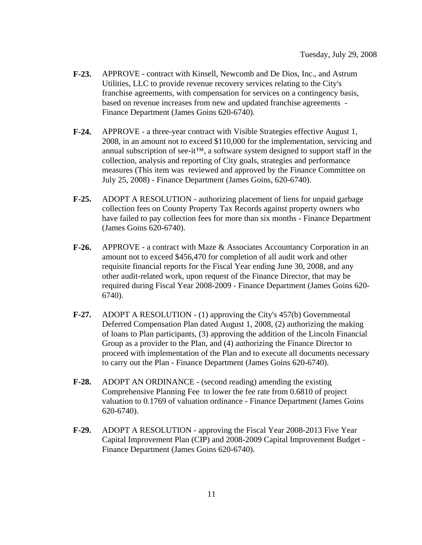- **F-23.** APPROVE contract with Kinsell, Newcomb and De Dios, Inc., and Astrum Utilities, LLC to provide revenue recovery services relating to the City's franchise agreements, with compensation for services on a contingency basis, based on revenue increases from new and updated franchise agreements - Finance Department (James Goins 620-6740).
- **F-24.** APPROVE a three-year contract with Visible Strategies effective August 1, 2008, in an amount not to exceed \$110,000 for the implementation, servicing and annual subscription of see-it $^{TM}$ , a software system designed to support staff in the collection, analysis and reporting of City goals, strategies and performance measures (This item was reviewed and approved by the Finance Committee on July 25, 2008) - Finance Department (James Goins, 620-6740).
- **F-25.** ADOPT A RESOLUTION authorizing placement of liens for unpaid garbage collection fees on County Property Tax Records against property owners who have failed to pay collection fees for more than six months - Finance Department (James Goins 620-6740).
- **F-26.** APPROVE a contract with Maze & Associates Accountancy Corporation in an amount not to exceed \$456,470 for completion of all audit work and other requisite financial reports for the Fiscal Year ending June 30, 2008, and any other audit-related work, upon request of the Finance Director, that may be required during Fiscal Year 2008-2009 - Finance Department (James Goins 620- 6740).
- **F-27.** ADOPT A RESOLUTION (1) approving the City's 457(b) Governmental Deferred Compensation Plan dated August 1, 2008, (2) authorizing the making of loans to Plan participants, (3) approving the addition of the Lincoln Financial Group as a provider to the Plan, and (4) authorizing the Finance Director to proceed with implementation of the Plan and to execute all documents necessary to carry out the Plan - Finance Department (James Goins 620-6740).
- **F-28.** ADOPT AN ORDINANCE (second reading) amending the existing Comprehensive Planning Fee to lower the fee rate from 0.6810 of project valuation to 0.1769 of valuation ordinance - Finance Department (James Goins 620-6740).
- **F-29.** ADOPT A RESOLUTION approving the Fiscal Year 2008-2013 Five Year Capital Improvement Plan (CIP) and 2008-2009 Capital Improvement Budget - Finance Department (James Goins 620-6740).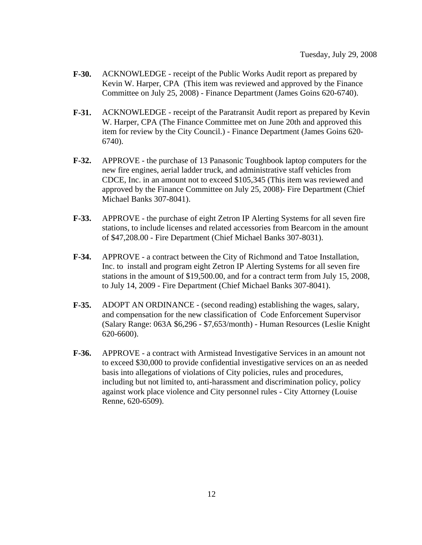- **F-30.** ACKNOWLEDGE receipt of the Public Works Audit report as prepared by Kevin W. Harper, CPA (This item was reviewed and approved by the Finance Committee on July 25, 2008) - Finance Department (James Goins 620-6740).
- **F-31.** ACKNOWLEDGE receipt of the Paratransit Audit report as prepared by Kevin W. Harper, CPA (The Finance Committee met on June 20th and approved this item for review by the City Council.) - Finance Department (James Goins 620- 6740).
- **F-32.** APPROVE the purchase of 13 Panasonic Toughbook laptop computers for the new fire engines, aerial ladder truck, and administrative staff vehicles from CDCE, Inc. in an amount not to exceed \$105,345 (This item was reviewed and approved by the Finance Committee on July 25, 2008)- Fire Department (Chief Michael Banks 307-8041).
- **F-33.** APPROVE the purchase of eight Zetron IP Alerting Systems for all seven fire stations, to include licenses and related accessories from Bearcom in the amount of \$47,208.00 - Fire Department (Chief Michael Banks 307-8031).
- **F-34.** APPROVE a contract between the City of Richmond and Tatoe Installation, Inc. to install and program eight Zetron IP Alerting Systems for all seven fire stations in the amount of \$19,500.00, and for a contract term from July 15, 2008, to July 14, 2009 - Fire Department (Chief Michael Banks 307-8041).
- **F-35.** ADOPT AN ORDINANCE (second reading) establishing the wages, salary, and compensation for the new classification of Code Enforcement Supervisor (Salary Range: 063A \$6,296 - \$7,653/month) - Human Resources (Leslie Knight 620-6600).
- **F-36.** APPROVE a contract with Armistead Investigative Services in an amount not to exceed \$30,000 to provide confidential investigative services on an as needed basis into allegations of violations of City policies, rules and procedures, including but not limited to, anti-harassment and discrimination policy, policy against work place violence and City personnel rules - City Attorney (Louise Renne, 620-6509).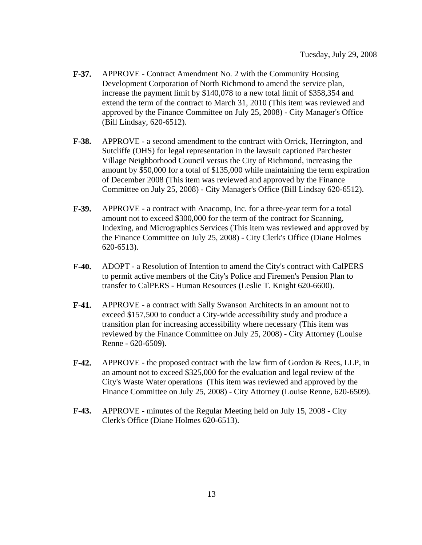- **F-37.** APPROVE Contract Amendment No. 2 with the Community Housing Development Corporation of North Richmond to amend the service plan, increase the payment limit by \$140,078 to a new total limit of \$358,354 and extend the term of the contract to March 31, 2010 (This item was reviewed and approved by the Finance Committee on July 25, 2008) - City Manager's Office (Bill Lindsay, 620-6512).
- **F-38.** APPROVE a second amendment to the contract with Orrick, Herrington, and Sutcliffe (OHS) for legal representation in the lawsuit captioned Parchester Village Neighborhood Council versus the City of Richmond, increasing the amount by \$50,000 for a total of \$135,000 while maintaining the term expiration of December 2008 (This item was reviewed and approved by the Finance Committee on July 25, 2008) - City Manager's Office (Bill Lindsay 620-6512).
- **F-39.** APPROVE a contract with Anacomp, Inc. for a three-year term for a total amount not to exceed \$300,000 for the term of the contract for Scanning, Indexing, and Micrographics Services (This item was reviewed and approved by the Finance Committee on July 25, 2008) - City Clerk's Office (Diane Holmes 620-6513).
- **F-40.** ADOPT a Resolution of Intention to amend the City's contract with CalPERS to permit active members of the City's Police and Firemen's Pension Plan to transfer to CalPERS - Human Resources (Leslie T. Knight 620-6600).
- **F-41.** APPROVE a contract with Sally Swanson Architects in an amount not to exceed \$157,500 to conduct a City-wide accessibility study and produce a transition plan for increasing accessibility where necessary (This item was reviewed by the Finance Committee on July 25, 2008) - City Attorney (Louise Renne - 620-6509).
- **F-42.** APPROVE the proposed contract with the law firm of Gordon & Rees, LLP, in an amount not to exceed \$325,000 for the evaluation and legal review of the City's Waste Water operations (This item was reviewed and approved by the Finance Committee on July 25, 2008) - City Attorney (Louise Renne, 620-6509).
- **F-43.** APPROVE minutes of the Regular Meeting held on July 15, 2008 City Clerk's Office (Diane Holmes 620-6513).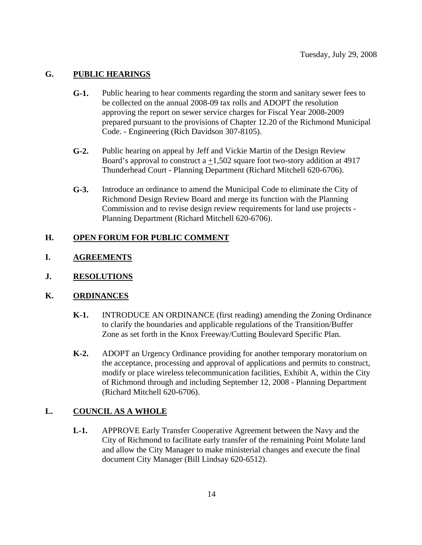# **G. PUBLIC HEARINGS**

- **G-1.** Public hearing to hear comments regarding the storm and sanitary sewer fees to be collected on the annual 2008-09 tax rolls and ADOPT the resolution approving the report on sewer service charges for Fiscal Year 2008-2009 prepared pursuant to the provisions of Chapter 12.20 of the Richmond Municipal Code. - Engineering (Rich Davidson 307-8105).
- **G-2.** Public hearing on appeal by Jeff and Vickie Martin of the Design Review Board's approval to construct a  $+1,502$  square foot two-story addition at 4917 Thunderhead Court - Planning Department (Richard Mitchell 620-6706).
- **G-3.** Introduce an ordinance to amend the Municipal Code to eliminate the City of Richmond Design Review Board and merge its function with the Planning Commission and to revise design review requirements for land use projects - Planning Department (Richard Mitchell 620-6706).

#### **H. OPEN FORUM FOR PUBLIC COMMENT**

# **I. AGREEMENTS**

**J. RESOLUTIONS**

# **K. ORDINANCES**

- **K-1.** INTRODUCE AN ORDINANCE (first reading) amending the Zoning Ordinance to clarify the boundaries and applicable regulations of the Transition/Buffer Zone as set forth in the Knox Freeway/Cutting Boulevard Specific Plan.
- **K-2.** ADOPT an Urgency Ordinance providing for another temporary moratorium on the acceptance, processing and approval of applications and permits to construct, modify or place wireless telecommunication facilities, Exhibit A, within the City of Richmond through and including September 12, 2008 - Planning Department (Richard Mitchell 620-6706).

# **L. COUNCIL AS A WHOLE**

**L-1.** APPROVE Early Transfer Cooperative Agreement between the Navy and the City of Richmond to facilitate early transfer of the remaining Point Molate land and allow the City Manager to make ministerial changes and execute the final document City Manager (Bill Lindsay 620-6512).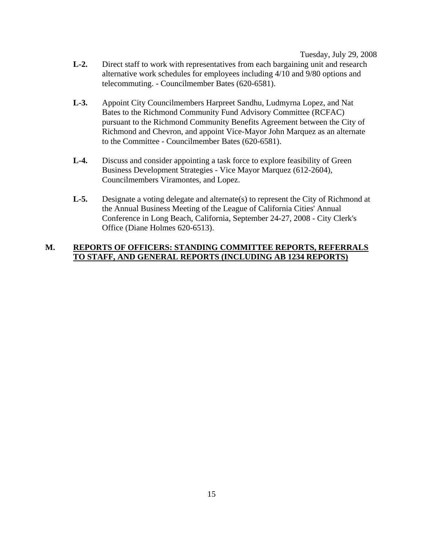Tuesday, July 29, 2008

- **L-2.** Direct staff to work with representatives from each bargaining unit and research alternative work schedules for employees including 4/10 and 9/80 options and telecommuting. - Councilmember Bates (620-6581).
- **L-3.** Appoint City Councilmembers Harpreet Sandhu, Ludmyrna Lopez, and Nat Bates to the Richmond Community Fund Advisory Committee (RCFAC) pursuant to the Richmond Community Benefits Agreement between the City of Richmond and Chevron, and appoint Vice-Mayor John Marquez as an alternate to the Committee - Councilmember Bates (620-6581).
- **L-4.** Discuss and consider appointing a task force to explore feasibility of Green Business Development Strategies - Vice Mayor Marquez (612-2604), Councilmembers Viramontes, and Lopez.
- **L-5.** Designate a voting delegate and alternate(s) to represent the City of Richmond at the Annual Business Meeting of the League of California Cities' Annual Conference in Long Beach, California, September 24-27, 2008 - City Clerk's Office (Diane Holmes 620-6513).

# **M. REPORTS OF OFFICERS: STANDING COMMITTEE REPORTS, REFERRALS TO STAFF, AND GENERAL REPORTS (INCLUDING AB 1234 REPORTS)**